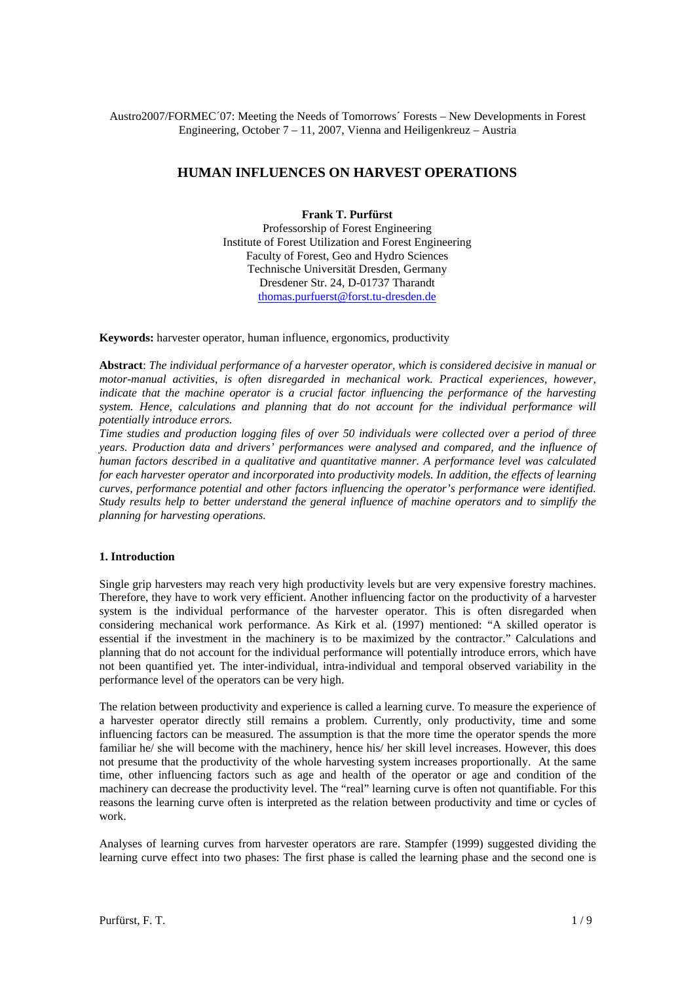# Austro2007/FORMEC´07: Meeting the Needs of Tomorrows´ Forests – New Developments in Forest Engineering, October 7 – 11, 2007, Vienna and Heiligenkreuz – Austria

# **HUMAN INFLUENCES ON HARVEST OPERATIONS**

## **Frank T. Purfürst**

Professorship of Forest Engineering Institute of Forest Utilization and Forest Engineering Faculty of Forest, Geo and Hydro Sciences Technische Universität Dresden, Germany Dresdener Str. 24, D-01737 Tharandt thomas.purfuerst@forst.tu-dresden.de

**Keywords:** harvester operator, human influence, ergonomics, productivity

**Abstract**: *The individual performance of a harvester operator, which is considered decisive in manual or motor-manual activities, is often disregarded in mechanical work. Practical experiences, however, indicate that the machine operator is a crucial factor influencing the performance of the harvesting system. Hence, calculations and planning that do not account for the individual performance will potentially introduce errors.* 

*Time studies and production logging files of over 50 individuals were collected over a period of three years. Production data and drivers' performances were analysed and compared, and the influence of human factors described in a qualitative and quantitative manner. A performance level was calculated for each harvester operator and incorporated into productivity models. In addition, the effects of learning curves, performance potential and other factors influencing the operator's performance were identified. Study results help to better understand the general influence of machine operators and to simplify the planning for harvesting operations.* 

### **1. Introduction**

Single grip harvesters may reach very high productivity levels but are very expensive forestry machines. Therefore, they have to work very efficient. Another influencing factor on the productivity of a harvester system is the individual performance of the harvester operator. This is often disregarded when considering mechanical work performance. As Kirk et al. (1997) mentioned: "A skilled operator is essential if the investment in the machinery is to be maximized by the contractor." Calculations and planning that do not account for the individual performance will potentially introduce errors, which have not been quantified yet. The inter-individual, intra-individual and temporal observed variability in the performance level of the operators can be very high.

The relation between productivity and experience is called a learning curve. To measure the experience of a harvester operator directly still remains a problem. Currently, only productivity, time and some influencing factors can be measured. The assumption is that the more time the operator spends the more familiar he/ she will become with the machinery, hence his/ her skill level increases. However, this does not presume that the productivity of the whole harvesting system increases proportionally. At the same time, other influencing factors such as age and health of the operator or age and condition of the machinery can decrease the productivity level. The "real" learning curve is often not quantifiable. For this reasons the learning curve often is interpreted as the relation between productivity and time or cycles of work.

Analyses of learning curves from harvester operators are rare. Stampfer (1999) suggested dividing the learning curve effect into two phases: The first phase is called the learning phase and the second one is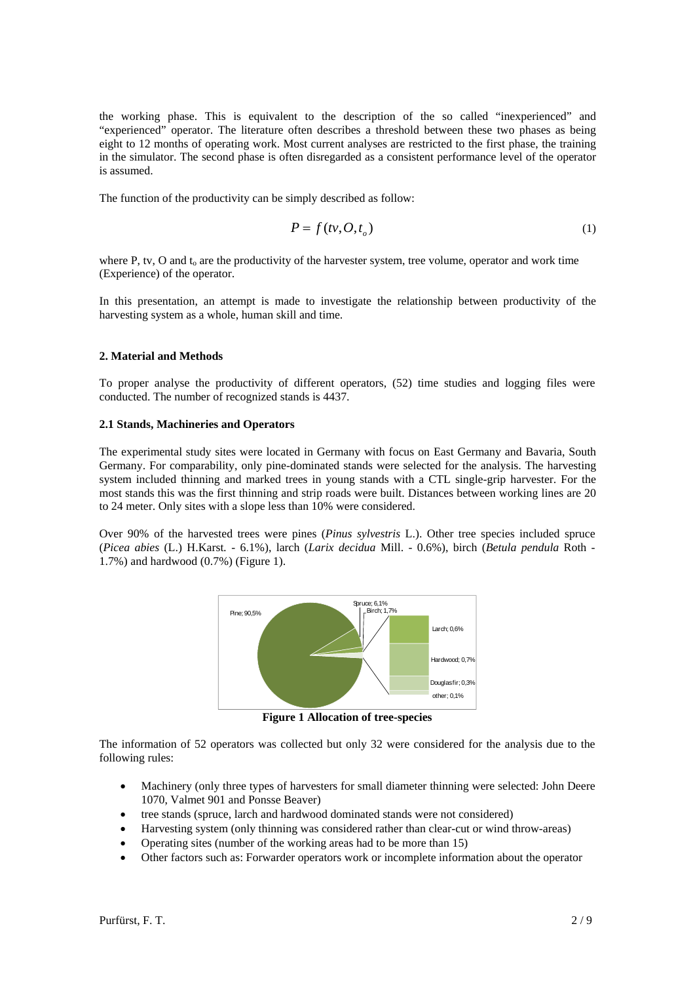the working phase. This is equivalent to the description of the so called "inexperienced" and "experienced" operator. The literature often describes a threshold between these two phases as being eight to 12 months of operating work. Most current analyses are restricted to the first phase, the training in the simulator. The second phase is often disregarded as a consistent performance level of the operator is assumed.

The function of the productivity can be simply described as follow:

$$
P = f(tv, O, t_o)
$$
 (1)

where P, tv, O and  $t_0$  are the productivity of the harvester system, tree volume, operator and work time (Experience) of the operator.

In this presentation, an attempt is made to investigate the relationship between productivity of the harvesting system as a whole, human skill and time.

#### **2. Material and Methods**

To proper analyse the productivity of different operators, (52) time studies and logging files were conducted. The number of recognized stands is 4437.

#### **2.1 Stands, Machineries and Operators**

The experimental study sites were located in Germany with focus on East Germany and Bavaria, South Germany. For comparability, only pine-dominated stands were selected for the analysis. The harvesting system included thinning and marked trees in young stands with a CTL single-grip harvester. For the most stands this was the first thinning and strip roads were built. Distances between working lines are 20 to 24 meter. Only sites with a slope less than 10% were considered.

Over 90% of the harvested trees were pines (*Pinus sylvestris* L.). Other tree species included spruce (*Picea abies* (L.) H.Karst*. -* 6.1%), larch (*Larix decidua* Mill. - 0.6%), birch (*Betula pendula* Roth - 1.7%) and hardwood (0.7%) (Figure 1).



**Figure 1 Allocation of tree-species** 

The information of 52 operators was collected but only 32 were considered for the analysis due to the following rules:

- Machinery (only three types of harvesters for small diameter thinning were selected: John Deere 1070, Valmet 901 and Ponsse Beaver)
- tree stands (spruce, larch and hardwood dominated stands were not considered)
- Harvesting system (only thinning was considered rather than clear-cut or wind throw-areas)
- Operating sites (number of the working areas had to be more than 15)
- Other factors such as: Forwarder operators work or incomplete information about the operator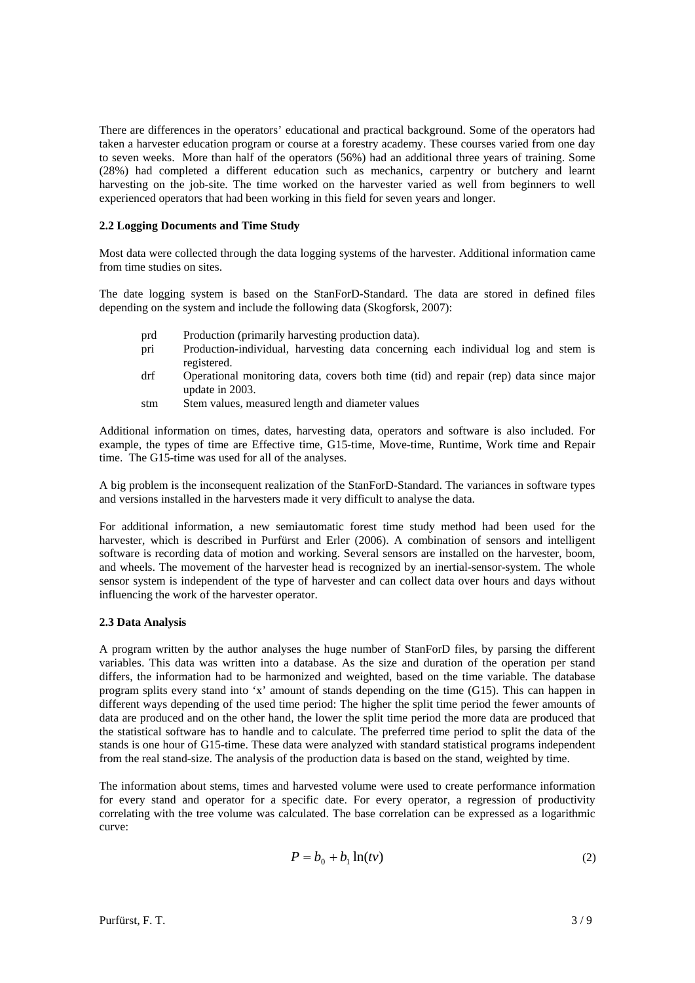There are differences in the operators' educational and practical background. Some of the operators had taken a harvester education program or course at a forestry academy. These courses varied from one day to seven weeks. More than half of the operators (56%) had an additional three years of training. Some (28%) had completed a different education such as mechanics, carpentry or butchery and learnt harvesting on the job-site. The time worked on the harvester varied as well from beginners to well experienced operators that had been working in this field for seven years and longer.

## **2.2 Logging Documents and Time Study**

Most data were collected through the data logging systems of the harvester. Additional information came from time studies on sites.

The date logging system is based on the StanForD-Standard. The data are stored in defined files depending on the system and include the following data (Skogforsk, 2007):

- prd Production (primarily harvesting production data).
- pri Production-individual, harvesting data concerning each individual log and stem is registered.
- drf Operational monitoring data, covers both time (tid) and repair (rep) data since major update in 2003.
- stm Stem values, measured length and diameter values

Additional information on times, dates, harvesting data, operators and software is also included. For example, the types of time are Effective time, G15-time, Move-time, Runtime, Work time and Repair time. The G15-time was used for all of the analyses.

A big problem is the inconsequent realization of the StanForD-Standard. The variances in software types and versions installed in the harvesters made it very difficult to analyse the data.

For additional information, a new semiautomatic forest time study method had been used for the harvester, which is described in Purfürst and Erler (2006). A combination of sensors and intelligent software is recording data of motion and working. Several sensors are installed on the harvester, boom, and wheels. The movement of the harvester head is recognized by an inertial-sensor-system. The whole sensor system is independent of the type of harvester and can collect data over hours and days without influencing the work of the harvester operator.

#### **2.3 Data Analysis**

A program written by the author analyses the huge number of StanForD files, by parsing the different variables. This data was written into a database. As the size and duration of the operation per stand differs, the information had to be harmonized and weighted, based on the time variable. The database program splits every stand into 'x' amount of stands depending on the time (G15). This can happen in different ways depending of the used time period: The higher the split time period the fewer amounts of data are produced and on the other hand, the lower the split time period the more data are produced that the statistical software has to handle and to calculate. The preferred time period to split the data of the stands is one hour of G15-time. These data were analyzed with standard statistical programs independent from the real stand-size. The analysis of the production data is based on the stand, weighted by time.

The information about stems, times and harvested volume were used to create performance information for every stand and operator for a specific date. For every operator, a regression of productivity correlating with the tree volume was calculated. The base correlation can be expressed as a logarithmic curve:

$$
P = b_0 + b_1 \ln(t\nu) \tag{2}
$$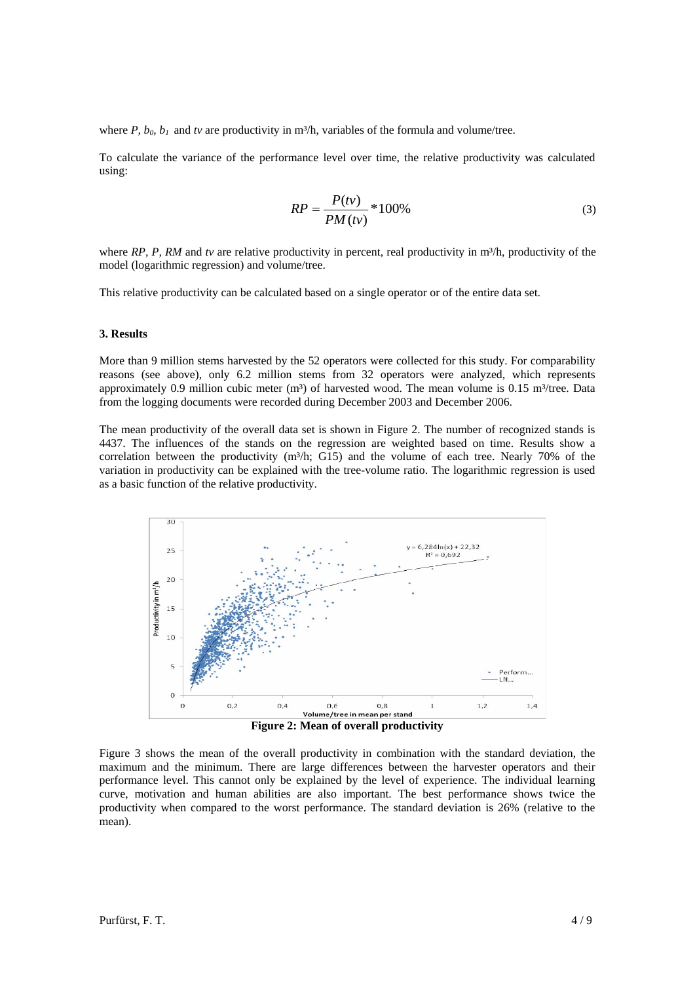where *P, b<sub>0</sub>*, *b<sub>1</sub>* and *tv* are productivity in m<sup>3</sup>/h, variables of the formula and volume/tree.

To calculate the variance of the performance level over time, the relative productivity was calculated using:

$$
RP = \frac{P(t\nu)}{PM(t\nu)} * 100\%
$$
\n(3)

where *RP, P, RM* and tv are relative productivity in percent, real productivity in m<sup>3</sup>/h, productivity of the model (logarithmic regression) and volume/tree.

This relative productivity can be calculated based on a single operator or of the entire data set.

#### **3. Results**

More than 9 million stems harvested by the 52 operators were collected for this study. For comparability reasons (see above), only 6.2 million stems from 32 operators were analyzed, which represents approximately 0.9 million cubic meter ( $m<sup>3</sup>$ ) of harvested wood. The mean volume is 0.15 m<sup>3</sup>/tree. Data from the logging documents were recorded during December 2003 and December 2006.

The mean productivity of the overall data set is shown in Figure 2. The number of recognized stands is 4437. The influences of the stands on the regression are weighted based on time. Results show a correlation between the productivity (m<sup>3</sup>/h; G15) and the volume of each tree. Nearly 70% of the variation in productivity can be explained with the tree-volume ratio. The logarithmic regression is used as a basic function of the relative productivity.



Figure 3 shows the mean of the overall productivity in combination with the standard deviation, the maximum and the minimum. There are large differences between the harvester operators and their performance level. This cannot only be explained by the level of experience. The individual learning curve, motivation and human abilities are also important. The best performance shows twice the productivity when compared to the worst performance. The standard deviation is 26% (relative to the

mean).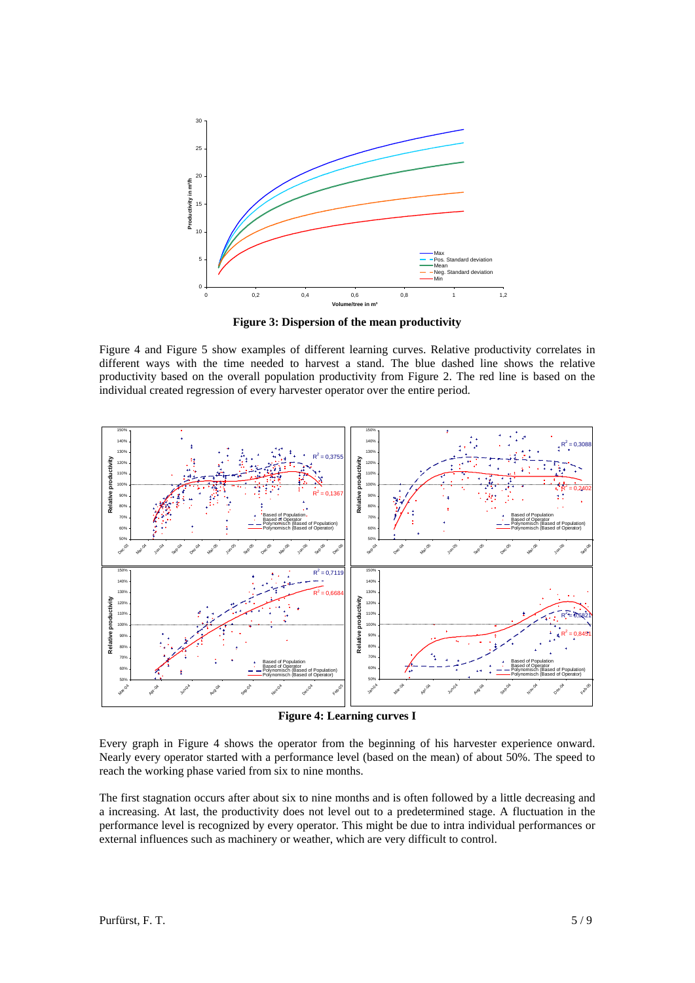

**Figure 3: Dispersion of the mean productivity** 

Figure 4 and Figure 5 show examples of different learning curves. Relative productivity correlates in different ways with the time needed to harvest a stand. The blue dashed line shows the relative productivity based on the overall population productivity from Figure 2. The red line is based on the individual created regression of every harvester operator over the entire period.



**Figure 4: Learning curves I** 

Every graph in Figure 4 shows the operator from the beginning of his harvester experience onward. Nearly every operator started with a performance level (based on the mean) of about 50%. The speed to reach the working phase varied from six to nine months.

The first stagnation occurs after about six to nine months and is often followed by a little decreasing and a increasing. At last, the productivity does not level out to a predetermined stage. A fluctuation in the performance level is recognized by every operator. This might be due to intra individual performances or external influences such as machinery or weather, which are very difficult to control.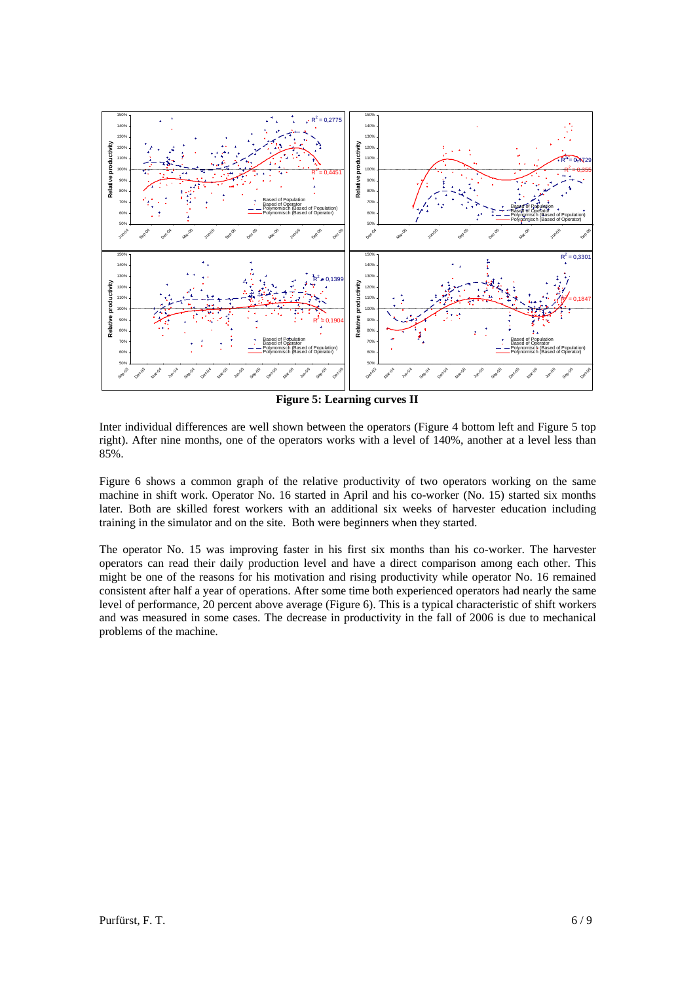

**Figure 5: Learning curves II** 

Inter individual differences are well shown between the operators (Figure 4 bottom left and Figure 5 top right). After nine months, one of the operators works with a level of 140%, another at a level less than 85%.

Figure 6 shows a common graph of the relative productivity of two operators working on the same machine in shift work. Operator No. 16 started in April and his co-worker (No. 15) started six months later. Both are skilled forest workers with an additional six weeks of harvester education including training in the simulator and on the site. Both were beginners when they started.

The operator No. 15 was improving faster in his first six months than his co-worker. The harvester operators can read their daily production level and have a direct comparison among each other. This might be one of the reasons for his motivation and rising productivity while operator No. 16 remained consistent after half a year of operations. After some time both experienced operators had nearly the same level of performance, 20 percent above average (Figure 6). This is a typical characteristic of shift workers and was measured in some cases. The decrease in productivity in the fall of 2006 is due to mechanical problems of the machine.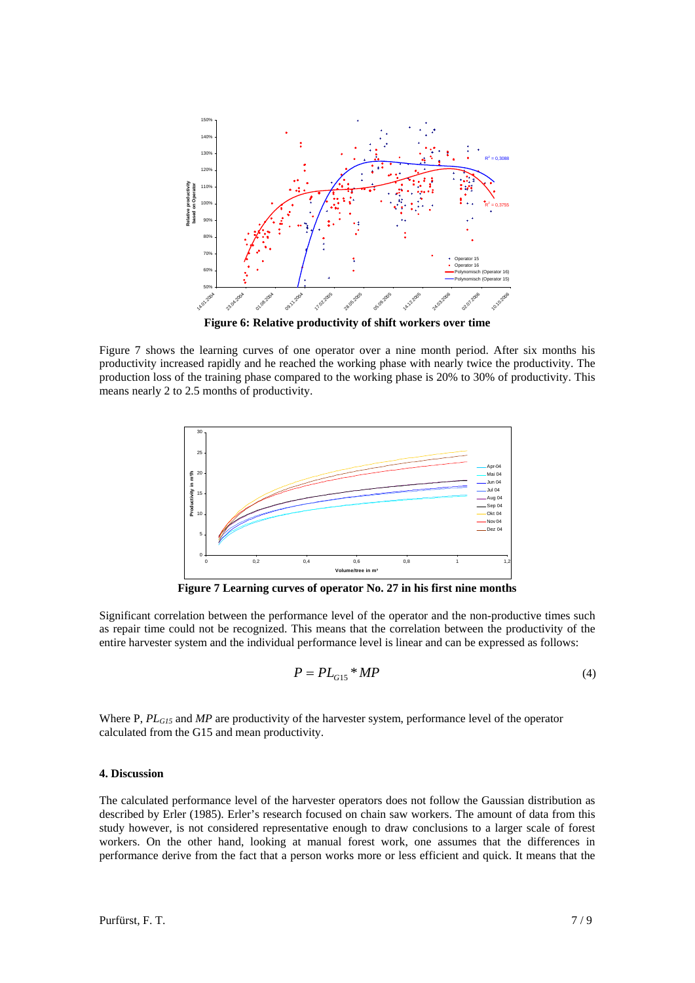

**Figure 6: Relative productivity of shift workers over time** 

Figure 7 shows the learning curves of one operator over a nine month period. After six months his productivity increased rapidly and he reached the working phase with nearly twice the productivity. The production loss of the training phase compared to the working phase is 20% to 30% of productivity. This means nearly 2 to 2.5 months of productivity.



**Figure 7 Learning curves of operator No. 27 in his first nine months**

Significant correlation between the performance level of the operator and the non-productive times such as repair time could not be recognized. This means that the correlation between the productivity of the entire harvester system and the individual performance level is linear and can be expressed as follows:

$$
P = PL_{G15} * MP \tag{4}
$$

Where P,  $PL_{GIS}$  and MP are productivity of the harvester system, performance level of the operator calculated from the G15 and mean productivity.

#### **4. Discussion**

The calculated performance level of the harvester operators does not follow the Gaussian distribution as described by Erler (1985). Erler's research focused on chain saw workers. The amount of data from this study however, is not considered representative enough to draw conclusions to a larger scale of forest workers. On the other hand, looking at manual forest work, one assumes that the differences in performance derive from the fact that a person works more or less efficient and quick. It means that the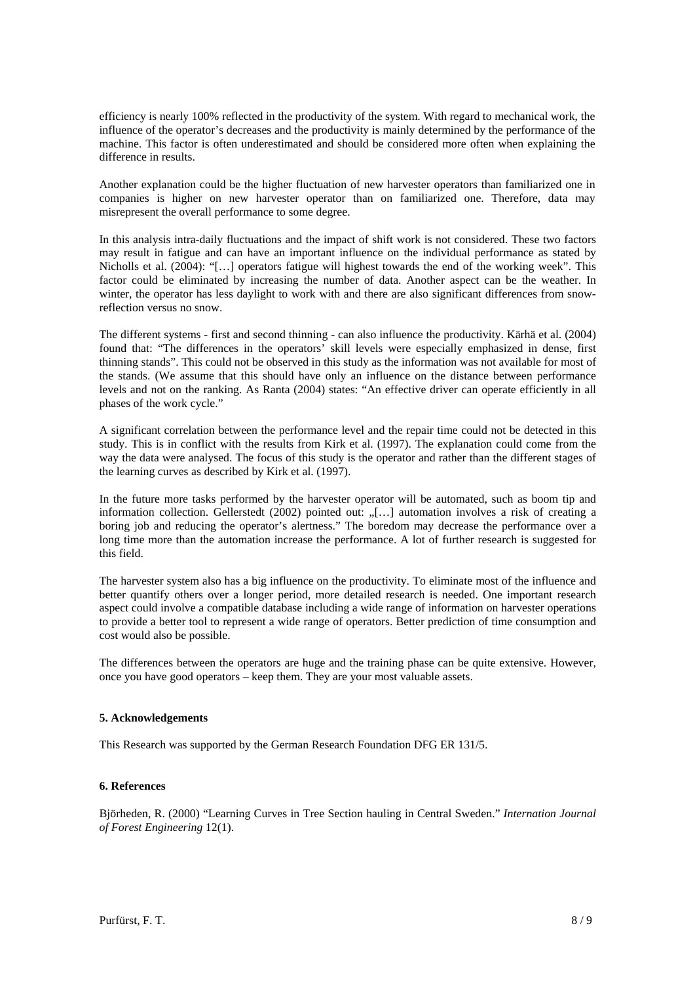efficiency is nearly 100% reflected in the productivity of the system. With regard to mechanical work, the influence of the operator's decreases and the productivity is mainly determined by the performance of the machine. This factor is often underestimated and should be considered more often when explaining the difference in results.

Another explanation could be the higher fluctuation of new harvester operators than familiarized one in companies is higher on new harvester operator than on familiarized one. Therefore, data may misrepresent the overall performance to some degree.

In this analysis intra-daily fluctuations and the impact of shift work is not considered. These two factors may result in fatigue and can have an important influence on the individual performance as stated by Nicholls et al. (2004): "[…] operators fatigue will highest towards the end of the working week". This factor could be eliminated by increasing the number of data. Another aspect can be the weather. In winter, the operator has less daylight to work with and there are also significant differences from snowreflection versus no snow.

The different systems - first and second thinning - can also influence the productivity. Kärhä et al. (2004) found that: "The differences in the operators' skill levels were especially emphasized in dense, first thinning stands". This could not be observed in this study as the information was not available for most of the stands. (We assume that this should have only an influence on the distance between performance levels and not on the ranking. As Ranta (2004) states: "An effective driver can operate efficiently in all phases of the work cycle."

A significant correlation between the performance level and the repair time could not be detected in this study. This is in conflict with the results from Kirk et al. (1997). The explanation could come from the way the data were analysed. The focus of this study is the operator and rather than the different stages of the learning curves as described by Kirk et al. (1997).

In the future more tasks performed by the harvester operator will be automated, such as boom tip and information collection. Gellerstedt (2002) pointed out:  $\sqrt{$ ... automation involves a risk of creating a boring job and reducing the operator's alertness." The boredom may decrease the performance over a long time more than the automation increase the performance. A lot of further research is suggested for this field.

The harvester system also has a big influence on the productivity. To eliminate most of the influence and better quantify others over a longer period, more detailed research is needed. One important research aspect could involve a compatible database including a wide range of information on harvester operations to provide a better tool to represent a wide range of operators. Better prediction of time consumption and cost would also be possible.

The differences between the operators are huge and the training phase can be quite extensive. However, once you have good operators – keep them. They are your most valuable assets.

# **5. Acknowledgements**

This Research was supported by the German Research Foundation DFG ER 131/5.

# **6. References**

Björheden, R. (2000) "Learning Curves in Tree Section hauling in Central Sweden." *Internation Journal of Forest Engineering* 12(1).